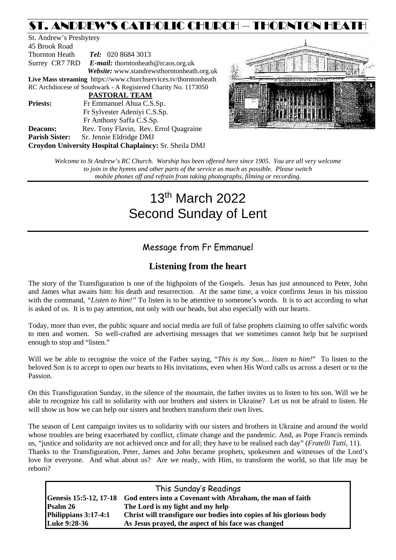# ST. ANDREW'S CATHOLIC CHURCH – THORNTON HEATH

St. Andrew's Presbytery 45 Brook Road Thornton Heath *Tel:* 020 8684 3013 Surrey CR7 7RD *E-mail:* [thorntonheath@rcaos.org.uk](mailto:thorntonheath@rcaos.org.uk) *Website:* www.standrewsthorntonheath.org.uk **Live Mass streaming** <https://www.churchservices.tv/thorntonheath> RC Archdiocese of Southwark - A Registered Charity No. 1173050  **PASTORAL TEAM Priests:** Fr Emmanuel Ahua C.S.Sp. Fr Sylvester Adeniyi C.S.Sp. Fr Anthony Saffa C.S.Sp. **Deacons:** Rev. Tony Flavin, Rev. Errol Quagraine **Parish Sister:** Sr. Jennie Eldridge DMJ **Croydon University Hospital Chaplaincy:** Sr. Sheila DMJ



*Welcome to St Andrew's RC Church. Worship has been offered here since 1905. You are all very welcome to join in the hymns and other parts of the service as much as possible. Please switch mobile phones off and refrain from taking photographs, filming or recording.*

# 13th March 2022 Second Sunday of Lent

# Message from Fr Emmanuel

## **Listening from the heart**

The story of the Transfiguration is one of the highpoints of the Gospels. Jesus has just announced to Peter, John and James what awaits him: his death and resurrection. At the same time, a voice confirms Jesus in his mission with the command, "*Listen to him!*" To listen is to be attentive to someone's words. It is to act according to what is asked of us. It is to pay attention, not only with our heads, but also especially with our hearts.

Today, more than ever, the public square and social media are full of false prophets claiming to offer salvific words to men and women. So well-crafted are advertising messages that we sometimes cannot help but be surprised enough to stop and "listen."

Will we be able to recognise the voice of the Father saying, "*This is my Son… listen to him!*" To listen to the beloved Son is to accept to open our hearts to His invitations, even when His Word calls us across a desert or to the Passion.

On this Transfiguration Sunday, in the silence of the mountain, the father invites us to listen to his son. Will we be able to recognize his call to solidarity with our brothers and sisters in Ukraine? Let us not be afraid to listen. He will show us how we can help our sisters and brothers transform their own lives.

The season of Lent campaign invites us to solidarity with our sisters and brothers in Ukraine and around the world whose troubles are being exacerbated by conflict, climate change and the pandemic. And, as Pope Francis reminds us, "justice and solidarity are not achieved once and for all; they have to be realised each day" (*Fratelli Tutti*, 11). Thanks to the Transfiguration, Peter, James and John became prophets, spokesmen and witnesses of the Lord's love for everyone. And what about us? Are we ready, with Him, to transform the world, so that life may be reborn?

|                      | This Sunday's Readings                                                           |  |  |
|----------------------|----------------------------------------------------------------------------------|--|--|
|                      | Genesis 15:5-12, 17-18 God enters into a Covenant with Abraham, the man of faith |  |  |
| Psalm 26             | The Lord is my light and my help                                                 |  |  |
| Philippians 3:17-4:1 | Christ will transfigure our bodies into copies of his glorious body              |  |  |
| Luke 9:28-36         | As Jesus prayed, the aspect of his face was changed                              |  |  |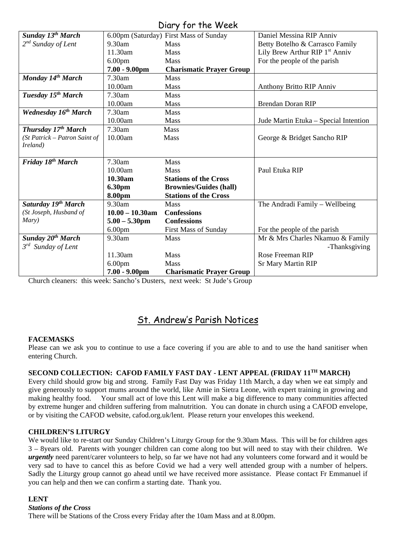## Diary for the Week

| UILLY JUI THE WEEK             |                    |                                        |                                            |  |  |
|--------------------------------|--------------------|----------------------------------------|--------------------------------------------|--|--|
| Sunday 13 <sup>th</sup> March  |                    | 6.00pm (Saturday) First Mass of Sunday | Daniel Messina RIP Anniv                   |  |  |
| $2^{nd}$ Sunday of Lent        | 9.30am             | <b>Mass</b>                            | Betty Botelho & Carrasco Family            |  |  |
|                                | 11.30am            | Mass                                   | Lily Brew Arthur RIP 1 <sup>st</sup> Anniv |  |  |
|                                | 6.00 <sub>pm</sub> | <b>Mass</b>                            | For the people of the parish               |  |  |
|                                | 7.00 - 9.00pm      | <b>Charismatic Prayer Group</b>        |                                            |  |  |
| Monday 14th March              | 7.30am             | <b>Mass</b>                            |                                            |  |  |
|                                | 10.00am            | <b>Mass</b>                            | <b>Anthony Britto RIP Anniv</b>            |  |  |
| Tuesday 15 <sup>th</sup> March | 7.30am             | <b>Mass</b>                            |                                            |  |  |
|                                | 10.00am            | <b>Mass</b>                            | <b>Brendan Doran RIP</b>                   |  |  |
| <b>Wednesday 16th March</b>    | 7.30am             | Mass                                   |                                            |  |  |
|                                | 10.00am            | <b>Mass</b>                            | Jude Martin Etuka – Special Intention      |  |  |
| Thursday 17th March            | 7.30am             | Mass                                   |                                            |  |  |
| (St Patrick – Patron Saint of  | 10.00am            | <b>Mass</b>                            | George & Bridget Sancho RIP                |  |  |
| Ireland)                       |                    |                                        |                                            |  |  |
|                                |                    |                                        |                                            |  |  |
| Friday 18th March              | 7.30am             | Mass                                   |                                            |  |  |
|                                | 10.00am            | <b>Mass</b>                            | Paul Etuka RIP                             |  |  |
|                                | 10.30am            | <b>Stations of the Cross</b>           |                                            |  |  |
|                                | 6.30pm             | <b>Brownies/Guides (hall)</b>          |                                            |  |  |
|                                | 8.00pm             | <b>Stations of the Cross</b>           |                                            |  |  |
| Saturday 19th March            | 9.30am             | <b>Mass</b>                            | The Andradi Family - Wellbeing             |  |  |
| (St Joseph, Husband of         | $10.00 - 10.30$ am | <b>Confessions</b>                     |                                            |  |  |
| Mary)                          | $5.00 - 5.30$ pm   | <b>Confessions</b>                     |                                            |  |  |
|                                | 6.00 <sub>pm</sub> | <b>First Mass of Sunday</b>            | For the people of the parish               |  |  |
| <b>Sunday 20th March</b>       | 9.30am             | <b>Mass</b>                            | Mr & Mrs Charles Nkamuo & Family           |  |  |
| 3 <sup>rd</sup> Sunday of Lent |                    |                                        | -Thanksgiving                              |  |  |
|                                | 11.30am            | <b>Mass</b>                            | <b>Rose Freeman RIP</b>                    |  |  |
|                                | 6.00 <sub>pm</sub> | <b>Mass</b>                            | <b>Sr Mary Martin RIP</b>                  |  |  |
|                                | $7.00 - 9.00$ pm   | <b>Charismatic Prayer Group</b>        |                                            |  |  |

Church cleaners: this week: Sancho's Dusters, next week: St Jude's Group

# St. Andrew's Parish Notices

## **FACEMASKS**

Please can we ask you to continue to use a face covering if you are able to and to use the hand sanitiser when entering Church.

## **SECOND COLLECTION: CAFOD FAMILY FAST DAY - LENT APPEAL (FRIDAY 11TH MARCH)**

Every child should grow big and strong. Family Fast Day was Friday 11th March, a day when we eat simply and give generously to support mums around the world, like Amie in Sietra Leone, with expert training in growing and making healthy food. Your small act of love this Lent will make a big difference to many communities affected by extreme hunger and children suffering from malnutrition. You can donate in church using a CAFOD envelope, or by visiting the CAFOD website, cafod.org.uk/lent. Please return your envelopes this weekend.

## **CHILDREN'S LITURGY**

We would like to re-start our Sunday Children's Liturgy Group for the 9.30am Mass. This will be for children ages 3 – 8years old. Parents with younger children can come along too but will need to stay with their children. We *urgently* need parent/carer volunteers to help, so far we have not had any volunteers come forward and it would be very sad to have to cancel this as before Covid we had a very well attended group with a number of helpers. Sadly the Liturgy group cannot go ahead until we have received more assistance. Please contact Fr Emmanuel if you can help and then we can confirm a starting date. Thank you.

## **LENT**

## *Stations of the Cross*

There will be Stations of the Cross every Friday after the 10am Mass and at 8.00pm.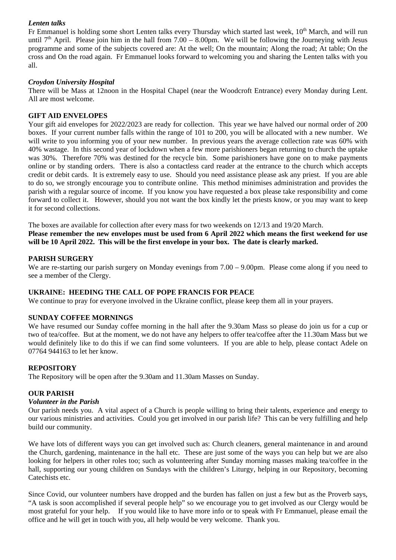## *Lenten talks*

Fr Emmanuel is holding some short Lenten talks every Thursday which started last week, 10<sup>th</sup> March, and will run until  $7<sup>th</sup>$  April. Please join him in the hall from  $7.00 - 8.00$ pm. We will be following the Journeying with Jesus programme and some of the subjects covered are: At the well; On the mountain; Along the road; At table; On the cross and On the road again. Fr Emmanuel looks forward to welcoming you and sharing the Lenten talks with you all.

## *Croydon University Hospital*

There will be Mass at 12noon in the Hospital Chapel (near the Woodcroft Entrance) every Monday during Lent. All are most welcome.

## **GIFT AID ENVELOPES**

Your gift aid envelopes for 2022/2023 are ready for collection. This year we have halved our normal order of 200 boxes. If your current number falls within the range of 101 to 200, you will be allocated with a new number. We will write to you informing you of your new number. In previous years the average collection rate was 60% with 40% wastage. In this second year of lockdown when a few more parishioners began returning to church the uptake was 30%. Therefore 70% was destined for the recycle bin. Some parishioners have gone on to make payments online or by standing orders. There is also a contactless card reader at the entrance to the church which accepts credit or debit cards. It is extremely easy to use. Should you need assistance please ask any priest. If you are able to do so, we strongly encourage you to contribute online. This method minimises administration and provides the parish with a regular source of income. If you know you have requested a box please take responsibility and come forward to collect it. However, should you not want the box kindly let the priests know, or you may want to keep it for second collections.

The boxes are available for collection after every mass for two weekends on 12/13 and 19/20 March. **Please remember the new envelopes must be used from 6 April 2022 which means the first weekend for use will be 10 April 2022. This will be the first envelope in your box. The date is clearly marked.**

## **PARISH SURGERY**

We are re-starting our parish surgery on Monday evenings from  $7.00 - 9.00$ pm. Please come along if you need to see a member of the Clergy.

## **UKRAINE: HEEDING THE CALL OF POPE FRANCIS FOR PEACE**

We continue to pray for everyone involved in the Ukraine conflict, please keep them all in your prayers.

## **SUNDAY COFFEE MORNINGS**

We have resumed our Sunday coffee morning in the hall after the 9.30am Mass so please do join us for a cup or two of tea/coffee. But at the moment, we do not have any helpers to offer tea/coffee after the 11.30am Mass but we would definitely like to do this if we can find some volunteers. If you are able to help, please contact Adele on 07764 944163 to let her know.

## **REPOSITORY**

The Repository will be open after the 9.30am and 11.30am Masses on Sunday.

## **OUR PARISH**

## *Volunteer in the Parish*

Our parish needs you. A vital aspect of a Church is people willing to bring their talents, experience and energy to our various ministries and activities. Could you get involved in our parish life? This can be very fulfilling and help build our community.

We have lots of different ways you can get involved such as: Church cleaners, general maintenance in and around the Church, gardening, maintenance in the hall etc. These are just some of the ways you can help but we are also looking for helpers in other roles too; such as volunteering after Sunday morning masses making tea/coffee in the hall, supporting our young children on Sundays with the children's Liturgy, helping in our Repository, becoming Catechists etc.

Since Covid, our volunteer numbers have dropped and the burden has fallen on just a few but as the Proverb says, "A task is soon accomplished if several people help" so we encourage you to get involved as our Clergy would be most grateful for your help. If you would like to have more info or to speak with Fr Emmanuel, please email the office and he will get in touch with you, all help would be very welcome. Thank you.